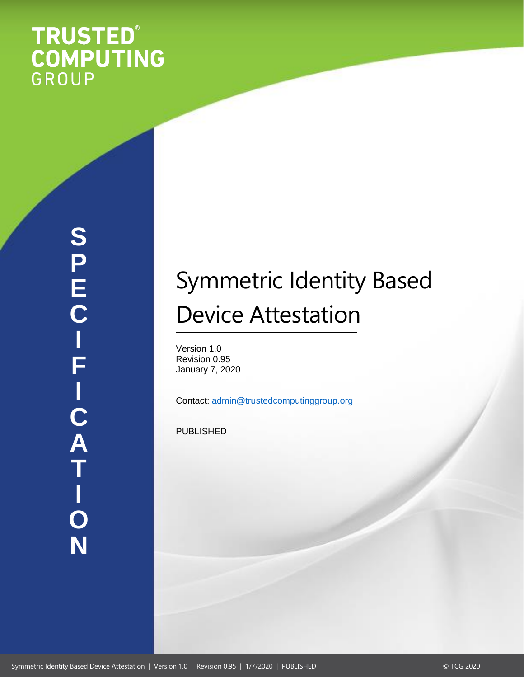# **TRUSTED®<br>COMPUTING**<br>GROUP

# Symmetric Identity Based Device Attestation

Version 1.0 Revision 0.95 January 7, 2020

Contact: [admin@trustedcomputinggroup.org](mailto:admin@trustedcomputinggroup.org)

PUBLISHED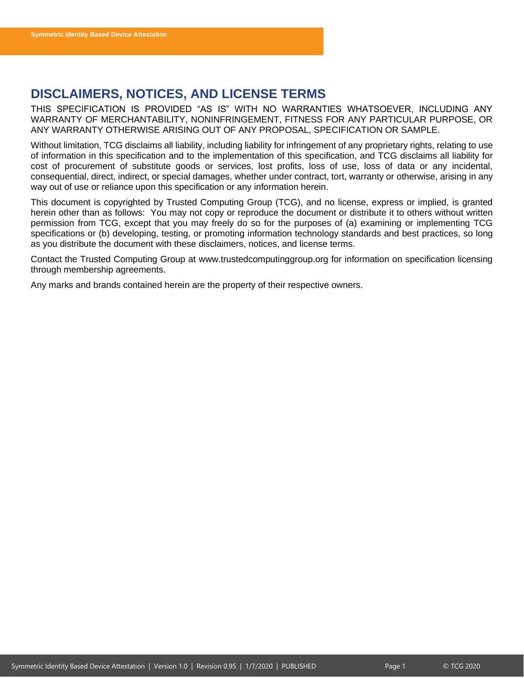# <span id="page-1-0"></span>**DISCLAIMERS, NOTICES, AND LICENSE TERMS**

THIS SPECIFICATION IS PROVIDED "AS IS" WITH NO WARRANTIES WHATSOEVER, INCLUDING ANY WARRANTY OF MERCHANTABILITY, NONINFRINGEMENT, FITNESS FOR ANY PARTICULAR PURPOSE, OR ANY WARRANTY OTHERWISE ARISING OUT OF ANY PROPOSAL, SPECIFICATION OR SAMPLE.

Without limitation, TCG disclaims all liability, including liability for infringement of any proprietary rights, relating to use of information in this specification and to the implementation of this specification, and TCG disclaims all liability for cost of procurement of substitute goods or services, lost profits, loss of use, loss of data or any incidental, consequential, direct, indirect, or special damages, whether under contract, tort, warranty or otherwise, arising in any way out of use or reliance upon this specification or any information herein.

This document is copyrighted by Trusted Computing Group (TCG), and no license, express or implied, is granted herein other than as follows: You may not copy or reproduce the document or distribute it to others without written permission from TCG, except that you may freely do so for the purposes of (a) examining or implementing TCG specifications or (b) developing, testing, or promoting information technology standards and best practices, so long as you distribute the document with these disclaimers, notices, and license terms.

Contact the Trusted Computing Group at www.trustedcomputinggroup.org for information on specification licensing through membership agreements.

Any marks and brands contained herein are the property of their respective owners.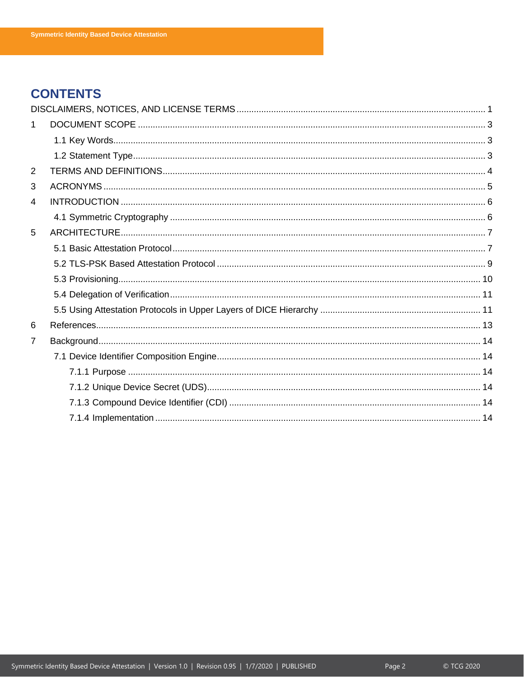# **CONTENTS**

| 1              |  |
|----------------|--|
|                |  |
|                |  |
| $\overline{2}$ |  |
| 3              |  |
| 4              |  |
|                |  |
| 5              |  |
|                |  |
|                |  |
|                |  |
|                |  |
|                |  |
| 6              |  |
| $\overline{7}$ |  |
|                |  |
|                |  |
|                |  |
|                |  |
|                |  |
|                |  |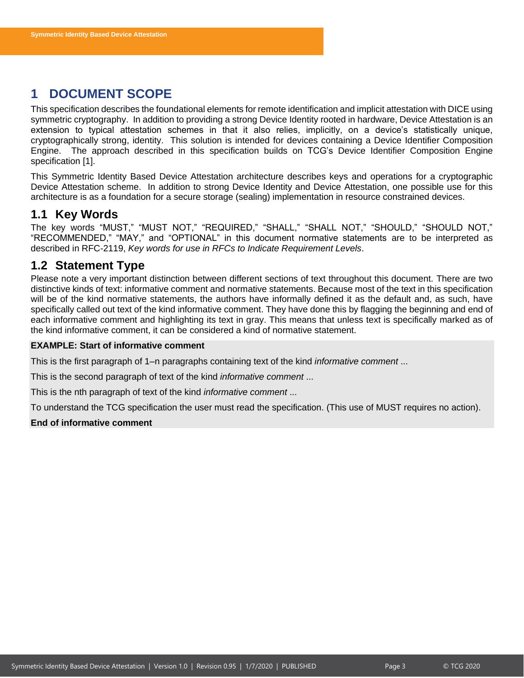# <span id="page-3-0"></span>**1 DOCUMENT SCOPE**

This specification describes the foundational elements for remote identification and implicit attestation with DICE using symmetric cryptography. In addition to providing a strong Device Identity rooted in hardware, Device Attestation is an extension to typical attestation schemes in that it also relies, implicitly, on a device's statistically unique, cryptographically strong, identity. This solution is intended for devices containing a Device Identifier Composition Engine. The approach described in this specification builds on TCG's Device Identifier Composition Engine specification [1].

This Symmetric Identity Based Device Attestation architecture describes keys and operations for a cryptographic Device Attestation scheme. In addition to strong Device Identity and Device Attestation, one possible use for this architecture is as a foundation for a secure storage (sealing) implementation in resource constrained devices.

# <span id="page-3-1"></span>**1.1 Key Words**

The key words "MUST," "MUST NOT," "REQUIRED," "SHALL," "SHALL NOT," "SHOULD," "SHOULD NOT," "RECOMMENDED," "MAY," and "OPTIONAL" in this document normative statements are to be interpreted as described in RFC-2119, *Key words for use in RFCs to Indicate Requirement Levels*.

# <span id="page-3-2"></span>**1.2 Statement Type**

Please note a very important distinction between different sections of text throughout this document. There are two distinctive kinds of text: informative comment and normative statements. Because most of the text in this specification will be of the kind normative statements, the authors have informally defined it as the default and, as such, have specifically called out text of the kind informative comment. They have done this by flagging the beginning and end of each informative comment and highlighting its text in gray. This means that unless text is specifically marked as of the kind informative comment, it can be considered a kind of normative statement.

#### **EXAMPLE: Start of informative comment**

This is the first paragraph of 1–n paragraphs containing text of the kind *informative comment* ...

This is the second paragraph of text of the kind *informative comment* ...

This is the nth paragraph of text of the kind *informative comment* ...

To understand the TCG specification the user must read the specification. (This use of MUST requires no action).

#### **End of informative comment**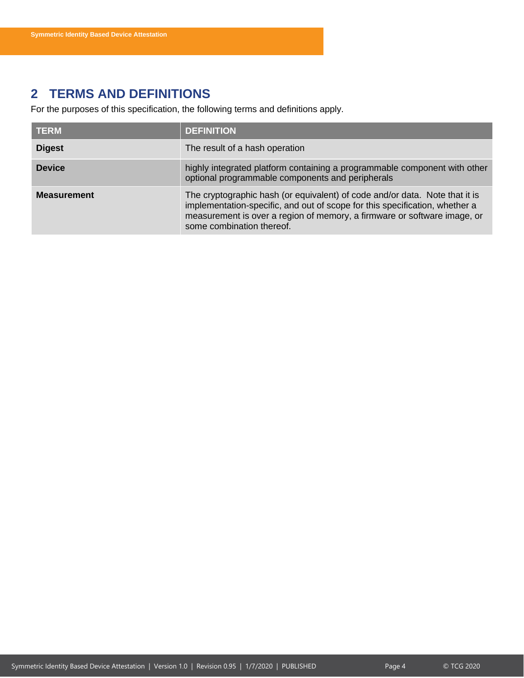# <span id="page-4-0"></span>**2 TERMS AND DEFINITIONS**

For the purposes of this specification, the following terms and definitions apply.

| <b>TERM</b>        | <b>DEFINITION</b>                                                                                                                                                                                                                                                   |
|--------------------|---------------------------------------------------------------------------------------------------------------------------------------------------------------------------------------------------------------------------------------------------------------------|
| <b>Digest</b>      | The result of a hash operation                                                                                                                                                                                                                                      |
| <b>Device</b>      | highly integrated platform containing a programmable component with other<br>optional programmable components and peripherals                                                                                                                                       |
| <b>Measurement</b> | The cryptographic hash (or equivalent) of code and/or data. Note that it is<br>implementation-specific, and out of scope for this specification, whether a<br>measurement is over a region of memory, a firmware or software image, or<br>some combination thereof. |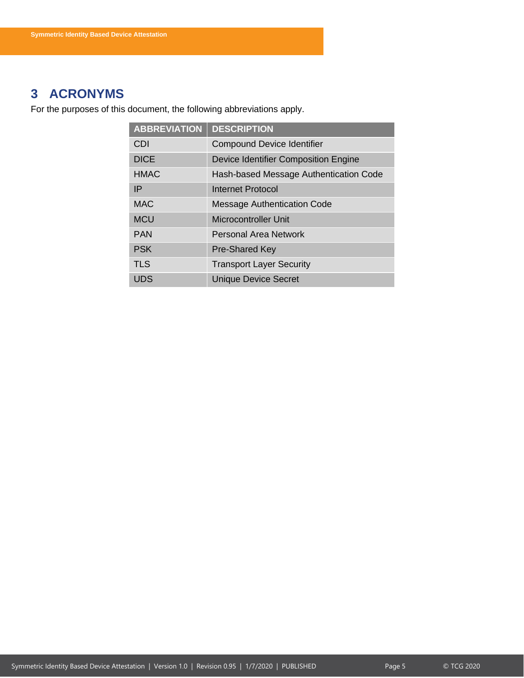# <span id="page-5-0"></span>**3 ACRONYMS**

For the purposes of this document, the following abbreviations apply.

| <b>ABBREVIATION</b> | <b>DESCRIPTION</b>                     |
|---------------------|----------------------------------------|
| CDI                 | <b>Compound Device Identifier</b>      |
| <b>DICE</b>         | Device Identifier Composition Engine   |
| <b>HMAC</b>         | Hash-based Message Authentication Code |
| IP                  | <b>Internet Protocol</b>               |
| <b>MAC</b>          | <b>Message Authentication Code</b>     |
| <b>MCU</b>          | <b>Microcontroller Unit</b>            |
| <b>PAN</b>          | Personal Area Network                  |
| <b>PSK</b>          | <b>Pre-Shared Key</b>                  |
| <b>TLS</b>          | <b>Transport Layer Security</b>        |
| UDS                 | <b>Unique Device Secret</b>            |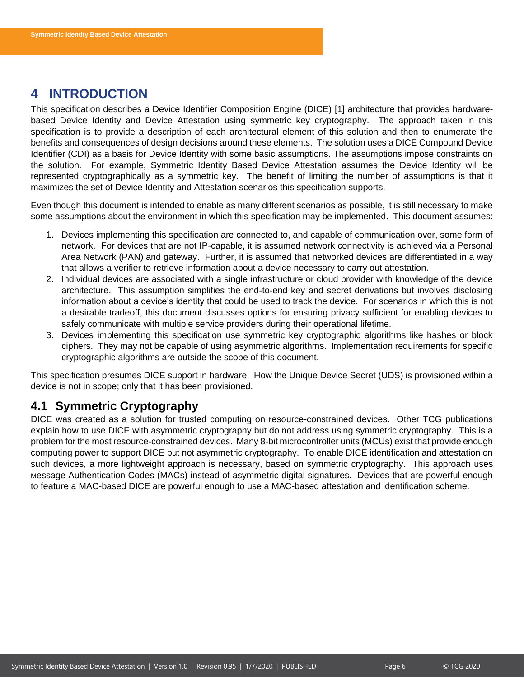# <span id="page-6-0"></span>**4 INTRODUCTION**

This specification describes a Device Identifier Composition Engine (DICE) [1] architecture that provides hardwarebased Device Identity and Device Attestation using symmetric key cryptography. The approach taken in this specification is to provide a description of each architectural element of this solution and then to enumerate the benefits and consequences of design decisions around these elements. The solution uses a DICE Compound Device Identifier (CDI) as a basis for Device Identity with some basic assumptions. The assumptions impose constraints on the solution. For example, Symmetric Identity Based Device Attestation assumes the Device Identity will be represented cryptographically as a symmetric key. The benefit of limiting the number of assumptions is that it maximizes the set of Device Identity and Attestation scenarios this specification supports.

Even though this document is intended to enable as many different scenarios as possible, it is still necessary to make some assumptions about the environment in which this specification may be implemented. This document assumes:

- 1. Devices implementing this specification are connected to, and capable of communication over, some form of network. For devices that are not IP-capable, it is assumed network connectivity is achieved via a Personal Area Network (PAN) and gateway. Further, it is assumed that networked devices are differentiated in a way that allows a verifier to retrieve information about a device necessary to carry out attestation.
- 2. Individual devices are associated with a single infrastructure or cloud provider with knowledge of the device architecture. This assumption simplifies the end-to-end key and secret derivations but involves disclosing information about a device's identity that could be used to track the device. For scenarios in which this is not a desirable tradeoff, this document discusses options for ensuring privacy sufficient for enabling devices to safely communicate with multiple service providers during their operational lifetime.
- 3. Devices implementing this specification use symmetric key cryptographic algorithms like hashes or block ciphers. They may not be capable of using asymmetric algorithms. Implementation requirements for specific cryptographic algorithms are outside the scope of this document.

This specification presumes DICE support in hardware. How the Unique Device Secret (UDS) is provisioned within a device is not in scope; only that it has been provisioned.

# <span id="page-6-1"></span>**4.1 Symmetric Cryptography**

DICE was created as a solution for trusted computing on resource-constrained devices. Other TCG publications explain how to use DICE with asymmetric cryptography but do not address using symmetric cryptography. This is a problem for the most resource-constrained devices. Many 8-bit microcontroller units (MCUs) exist that provide enough computing power to support DICE but not asymmetric cryptography. To enable DICE identification and attestation on such devices, a more lightweight approach is necessary, based on symmetric cryptography. This approach uses Message Authentication Codes (MACs) instead of asymmetric digital signatures. Devices that are powerful enough to feature a MAC-based DICE are powerful enough to use a MAC-based attestation and identification scheme.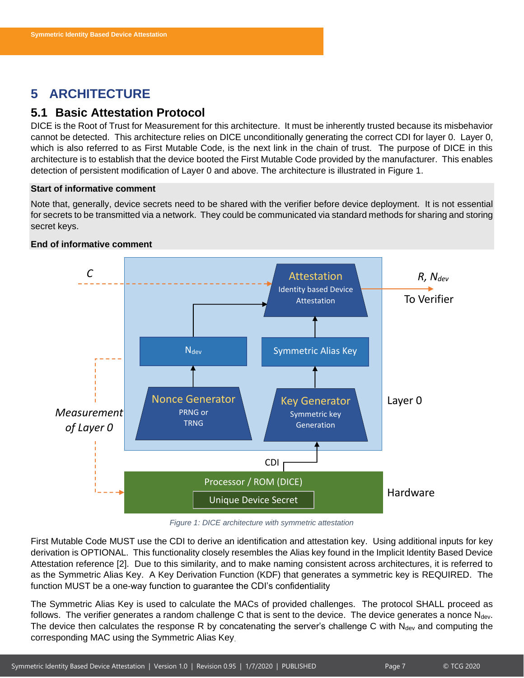# <span id="page-7-0"></span>**5 ARCHITECTURE**

# <span id="page-7-1"></span>**5.1 Basic Attestation Protocol**

DICE is the Root of Trust for Measurement for this architecture. It must be inherently trusted because its misbehavior cannot be detected. This architecture relies on DICE unconditionally generating the correct CDI for layer 0. Layer 0, which is also referred to as First Mutable Code, is the next link in the chain of trust. The purpose of DICE in this architecture is to establish that the device booted the First Mutable Code provided by the manufacturer. This enables detection of persistent modification of Layer 0 and above. The architecture is illustrated in [Figure 1.](#page-7-2)

#### **Start of informative comment**

Note that, generally, device secrets need to be shared with the verifier before device deployment. It is not essential for secrets to be transmitted via a network. They could be communicated via standard methods for sharing and storing secret keys.



#### **End of informative comment**

*Figure 1: DICE architecture with symmetric attestation*

<span id="page-7-2"></span>First Mutable Code MUST use the CDI to derive an identification and attestation key. Using additional inputs for key derivation is OPTIONAL. This functionality closely resembles the Alias key found in the Implicit Identity Based Device Attestation reference [2]. Due to this similarity, and to make naming consistent across architectures, it is referred to as the Symmetric Alias Key. A Key Derivation Function (KDF) that generates a symmetric key is REQUIRED. The function MUST be a one-way function to guarantee the CDI's confidentiality

The Symmetric Alias Key is used to calculate the MACs of provided challenges. The protocol SHALL proceed as follows. The verifier generates a random challenge C that is sent to the device. The device generates a nonce  $N_{dev}$ . The device then calculates the response R by concatenating the server's challenge C with  $N_{dev}$  and computing the corresponding MAC using the Symmetric Alias Key.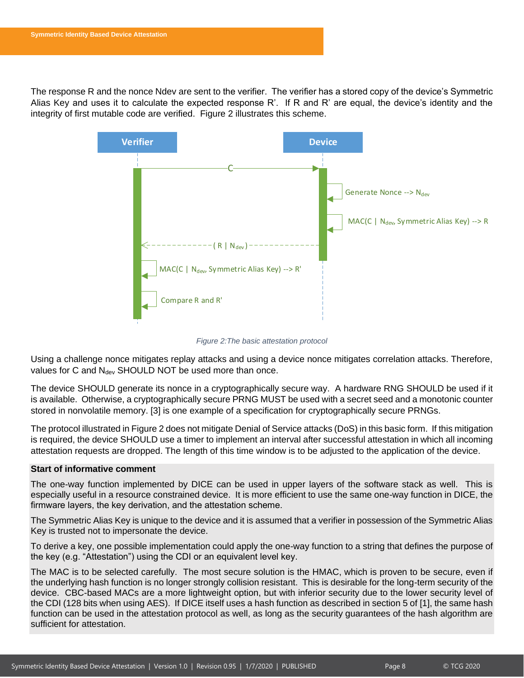The response R and the nonce Ndev are sent to the verifier. The verifier has a stored copy of the device's Symmetric Alias Key and uses it to calculate the expected response R'. If R and R' are equal, the device's identity and the integrity of first mutable code are verified. [Figure 2](#page-8-0) illustrates this scheme.



*Figure 2:The basic attestation protocol*

<span id="page-8-0"></span>Using a challenge nonce mitigates replay attacks and using a device nonce mitigates correlation attacks. Therefore, values for C and  $N_{dev}$  SHOULD NOT be used more than once.

The device SHOULD generate its nonce in a cryptographically secure way. A hardware RNG SHOULD be used if it is available. Otherwise, a cryptographically secure PRNG MUST be used with a secret seed and a monotonic counter stored in nonvolatile memory. [3] is one example of a specification for cryptographically secure PRNGs.

The protocol illustrated i[n Figure 2](#page-8-0) does not mitigate Denial of Service attacks (DoS) in this basic form. If this mitigation is required, the device SHOULD use a timer to implement an interval after successful attestation in which all incoming attestation requests are dropped. The length of this time window is to be adjusted to the application of the device.

#### **Start of informative comment**

The one-way function implemented by DICE can be used in upper layers of the software stack as well. This is especially useful in a resource constrained device. It is more efficient to use the same one-way function in DICE, the firmware layers, the key derivation, and the attestation scheme.

The Symmetric Alias Key is unique to the device and it is assumed that a verifier in possession of the Symmetric Alias Key is trusted not to impersonate the device.

To derive a key, one possible implementation could apply the one-way function to a string that defines the purpose of the key (e.g. "Attestation") using the CDI or an equivalent level key.

The MAC is to be selected carefully. The most secure solution is the HMAC, which is proven to be secure, even if the underlying hash function is no longer strongly collision resistant. This is desirable for the long-term security of the device. CBC-based MACs are a more lightweight option, but with inferior security due to the lower security level of the CDI (128 bits when using AES). If DICE itself uses a hash function as described in section 5 of [1], the same hash function can be used in the attestation protocol as well, as long as the security guarantees of the hash algorithm are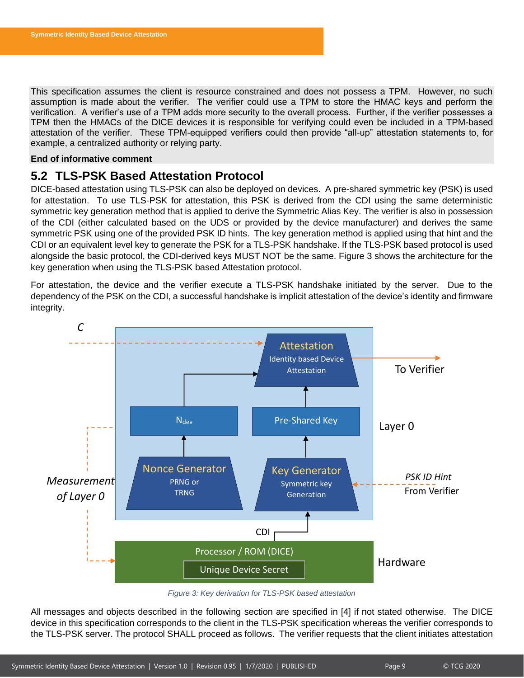This specification assumes the client is resource constrained and does not possess a TPM. However, no such assumption is made about the verifier. The verifier could use a TPM to store the HMAC keys and perform the verification. A verifier's use of a TPM adds more security to the overall process. Further, if the verifier possesses a TPM then the HMACs of the DICE devices it is responsible for verifying could even be included in a TPM-based attestation of the verifier. These TPM-equipped verifiers could then provide "all-up" attestation statements to, for example, a centralized authority or relying party.

#### **End of informative comment**

# <span id="page-9-0"></span>**5.2 TLS-PSK Based Attestation Protocol**

DICE-based attestation using TLS-PSK can also be deployed on devices. A pre-shared symmetric key (PSK) is used for attestation. To use TLS-PSK for attestation, this PSK is derived from the CDI using the same deterministic symmetric key generation method that is applied to derive the Symmetric Alias Key. The verifier is also in possession of the CDI (either calculated based on the UDS or provided by the device manufacturer) and derives the same symmetric PSK using one of the provided PSK ID hints. The key generation method is applied using that hint and the CDI or an equivalent level key to generate the PSK for a TLS-PSK handshake. If the TLS-PSK based protocol is used alongside the basic protocol, the CDI-derived keys MUST NOT be the same. [Figure 3](#page-9-1) shows the architecture for the key generation when using the TLS-PSK based Attestation protocol.

For attestation, the device and the verifier execute a TLS-PSK handshake initiated by the server. Due to the dependency of the PSK on the CDI, a successful handshake is implicit attestation of the device's identity and firmware integrity.



*Figure 3: Key derivation for TLS-PSK based attestation*

<span id="page-9-1"></span>All messages and objects described in the following section are specified in [4] if not stated otherwise. The DICE device in this specification corresponds to the client in the TLS-PSK specification whereas the verifier corresponds to the TLS-PSK server. The protocol SHALL proceed as follows. The verifier requests that the client initiates attestation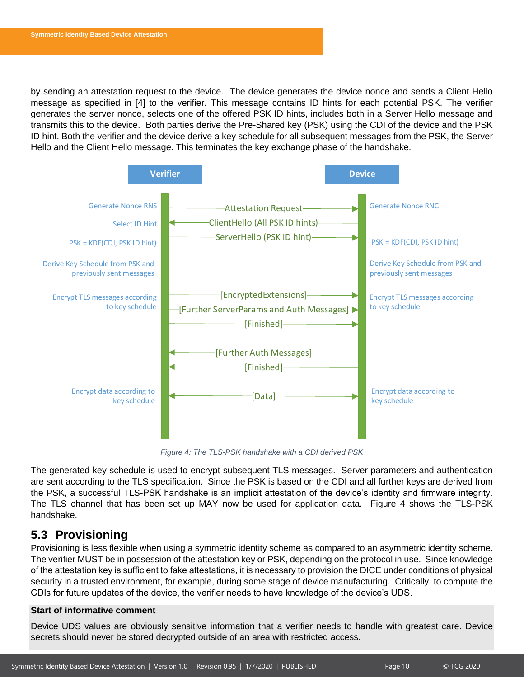by sending an attestation request to the device. The device generates the device nonce and sends a Client Hello message as specified in [4] to the verifier. This message contains ID hints for each potential PSK. The verifier generates the server nonce, selects one of the offered PSK ID hints, includes both in a Server Hello message and transmits this to the device. Both parties derive the Pre-Shared key (PSK) using the CDI of the device and the PSK ID hint. Both the verifier and the device derive a key schedule for all subsequent messages from the PSK, the Server Hello and the Client Hello message. This terminates the key exchange phase of the handshake.



*Figure 4: The TLS-PSK handshake with a CDI derived PSK*

<span id="page-10-1"></span>The generated key schedule is used to encrypt subsequent TLS messages. Server parameters and authentication are sent according to the TLS specification. Since the PSK is based on the CDI and all further keys are derived from the PSK, a successful TLS-PSK handshake is an implicit attestation of the device's identity and firmware integrity. The TLS channel that has been set up MAY now be used for application data. [Figure 4](#page-10-1) shows the TLS-PSK handshake.

# <span id="page-10-0"></span>**5.3 Provisioning**

Provisioning is less flexible when using a symmetric identity scheme as compared to an asymmetric identity scheme. The verifier MUST be in possession of the attestation key or PSK, depending on the protocol in use. Since knowledge of the attestation key is sufficient to fake attestations, it is necessary to provision the DICE under conditions of physical security in a trusted environment, for example, during some stage of device manufacturing. Critically, to compute the CDIs for future updates of the device, the verifier needs to have knowledge of the device's UDS.

#### **Start of informative comment**

Device UDS values are obviously sensitive information that a verifier needs to handle with greatest care. Device secrets should never be stored decrypted outside of an area with restricted access.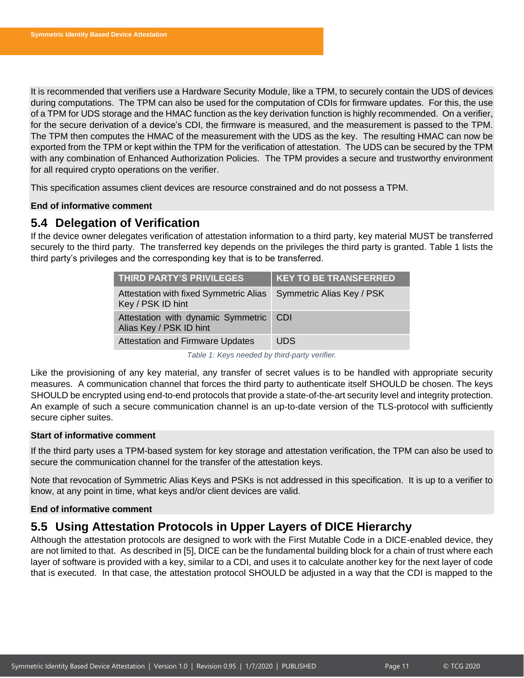It is recommended that verifiers use a Hardware Security Module, like a TPM, to securely contain the UDS of devices during computations. The TPM can also be used for the computation of CDIs for firmware updates. For this, the use of a TPM for UDS storage and the HMAC function as the key derivation function is highly recommended. On a verifier, for the secure derivation of a device's CDI, the firmware is measured, and the measurement is passed to the TPM. The TPM then computes the HMAC of the measurement with the UDS as the key. The resulting HMAC can now be exported from the TPM or kept within the TPM for the verification of attestation. The UDS can be secured by the TPM with any combination of Enhanced Authorization Policies. The TPM provides a secure and trustworthy environment for all required crypto operations on the verifier.

This specification assumes client devices are resource constrained and do not possess a TPM.

#### **End of informative comment**

# <span id="page-11-0"></span>**5.4 Delegation of Verification**

If the device owner delegates verification of attestation information to a third party, key material MUST be transferred securely to the third party. The transferred key depends on the privileges the third party is granted. [Table 1](#page-11-2) lists the third party's privileges and the corresponding key that is to be transferred.

| <b>THIRD PARTY'S PRIVILEGES</b>                               | <b>KEY TO BE TRANSFERRED</b> |
|---------------------------------------------------------------|------------------------------|
| Attestation with fixed Symmetric Alias<br>Key / PSK ID hint   | Symmetric Alias Key / PSK    |
| Attestation with dynamic Symmetric<br>Alias Key / PSK ID hint | -CDI                         |
| <b>Attestation and Firmware Updates</b>                       | UDS                          |

*Table 1: Keys needed by third-party verifier.*

<span id="page-11-2"></span>Like the provisioning of any key material, any transfer of secret values is to be handled with appropriate security measures. A communication channel that forces the third party to authenticate itself SHOULD be chosen. The keys SHOULD be encrypted using end-to-end protocols that provide a state-of-the-art security level and integrity protection. An example of such a secure communication channel is an up-to-date version of the TLS-protocol with sufficiently secure cipher suites.

#### **Start of informative comment**

If the third party uses a TPM-based system for key storage and attestation verification, the TPM can also be used to secure the communication channel for the transfer of the attestation keys.

Note that revocation of Symmetric Alias Keys and PSKs is not addressed in this specification. It is up to a verifier to know, at any point in time, what keys and/or client devices are valid.

#### **End of informative comment**

# <span id="page-11-1"></span>**5.5 Using Attestation Protocols in Upper Layers of DICE Hierarchy**

Although the attestation protocols are designed to work with the First Mutable Code in a DICE-enabled device, they are not limited to that. As described in [5], DICE can be the fundamental building block for a chain of trust where each layer of software is provided with a key, similar to a CDI, and uses it to calculate another key for the next layer of code that is executed. In that case, the attestation protocol SHOULD be adjusted in a way that the CDI is mapped to the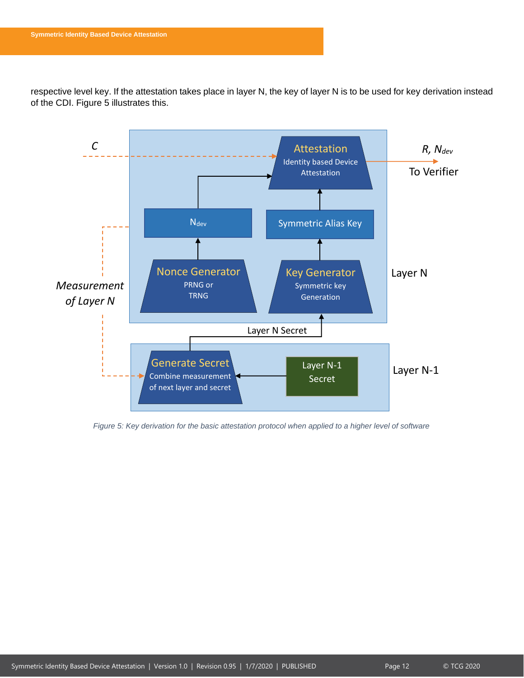respective level key. If the attestation takes place in layer N, the key of layer N is to be used for key derivation instead of the CDI. [Figure 5](#page-12-0) illustrates this.



<span id="page-12-0"></span>*Figure 5: Key derivation for the basic attestation protocol when applied to a higher level of software*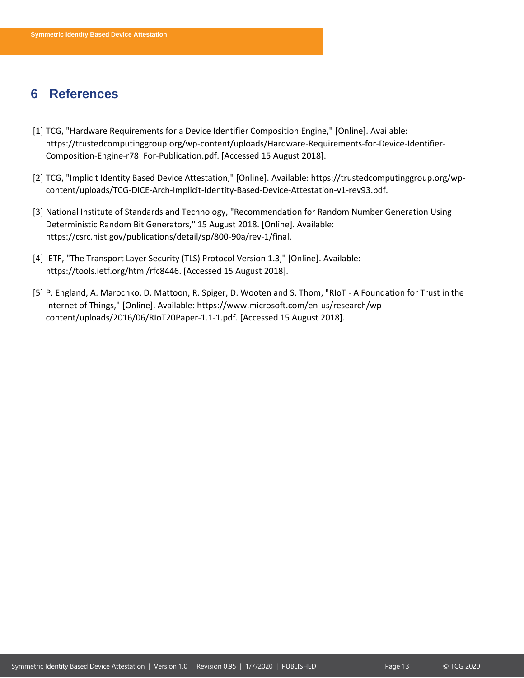# <span id="page-13-0"></span>**6 References**

- [1] TCG, "Hardware Requirements for a Device Identifier Composition Engine," [Online]. Available: https://trustedcomputinggroup.org/wp-content/uploads/Hardware-Requirements-for-Device-Identifier-Composition-Engine-r78\_For-Publication.pdf. [Accessed 15 August 2018].
- [2] TCG, "Implicit Identity Based Device Attestation," [Online]. Available: https://trustedcomputinggroup.org/wpcontent/uploads/TCG-DICE-Arch-Implicit-Identity-Based-Device-Attestation-v1-rev93.pdf.
- [3] National Institute of Standards and Technology, "Recommendation for Random Number Generation Using Deterministic Random Bit Generators," 15 August 2018. [Online]. Available: https://csrc.nist.gov/publications/detail/sp/800-90a/rev-1/final.
- [4] IETF, "The Transport Layer Security (TLS) Protocol Version 1.3," [Online]. Available: https://tools.ietf.org/html/rfc8446. [Accessed 15 August 2018].
- [5] P. England, A. Marochko, D. Mattoon, R. Spiger, D. Wooten and S. Thom, "RIoT A Foundation for Trust in the Internet of Things," [Online]. Available: https://www.microsoft.com/en-us/research/wpcontent/uploads/2016/06/RIoT20Paper-1.1-1.pdf. [Accessed 15 August 2018].